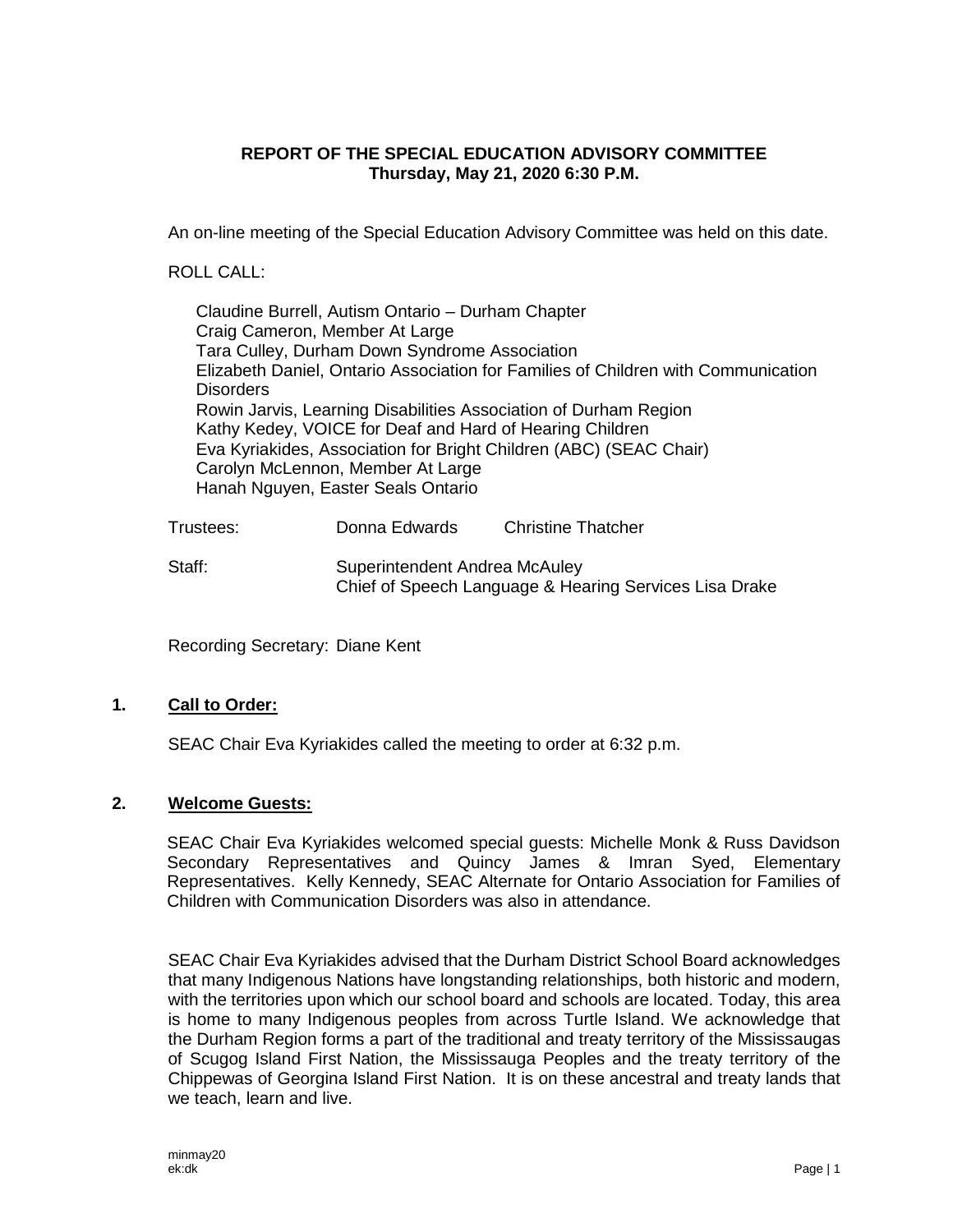## **REPORT OF THE SPECIAL EDUCATION ADVISORY COMMITTEE Thursday, May 21, 2020 6:30 P.M.**

An on-line meeting of the Special Education Advisory Committee was held on this date.

ROLL CALL:

Claudine Burrell, Autism Ontario – Durham Chapter Craig Cameron, Member At Large Tara Culley, Durham Down Syndrome Association Elizabeth Daniel, Ontario Association for Families of Children with Communication **Disorders** Rowin Jarvis, Learning Disabilities Association of Durham Region Kathy Kedey, VOICE for Deaf and Hard of Hearing Children Eva Kyriakides, Association for Bright Children (ABC) (SEAC Chair) Carolyn McLennon, Member At Large Hanah Nguyen, Easter Seals Ontario

| Trustees: | Donna Edwards                                          | <b>Christine Thatcher</b> |  |
|-----------|--------------------------------------------------------|---------------------------|--|
| Staff:    | Superintendent Andrea McAuley                          |                           |  |
|           | Chief of Speech Language & Hearing Services Lisa Drake |                           |  |

Recording Secretary: Diane Kent

## **1. Call to Order:**

SEAC Chair Eva Kyriakides called the meeting to order at 6:32 p.m.

## **2. Welcome Guests:**

SEAC Chair Eva Kyriakides welcomed special guests: Michelle Monk & Russ Davidson Secondary Representatives and Quincy James & Imran Syed, Elementary Representatives. Kelly Kennedy, SEAC Alternate for Ontario Association for Families of Children with Communication Disorders was also in attendance.

SEAC Chair Eva Kyriakides advised that the Durham District School Board acknowledges that many Indigenous Nations have longstanding relationships, both historic and modern, with the territories upon which our school board and schools are located. Today, this area is home to many Indigenous peoples from across Turtle Island. We acknowledge that the Durham Region forms a part of the traditional and treaty territory of the Mississaugas of Scugog Island First Nation, the Mississauga Peoples and the treaty territory of the Chippewas of Georgina Island First Nation. It is on these ancestral and treaty lands that we teach, learn and live.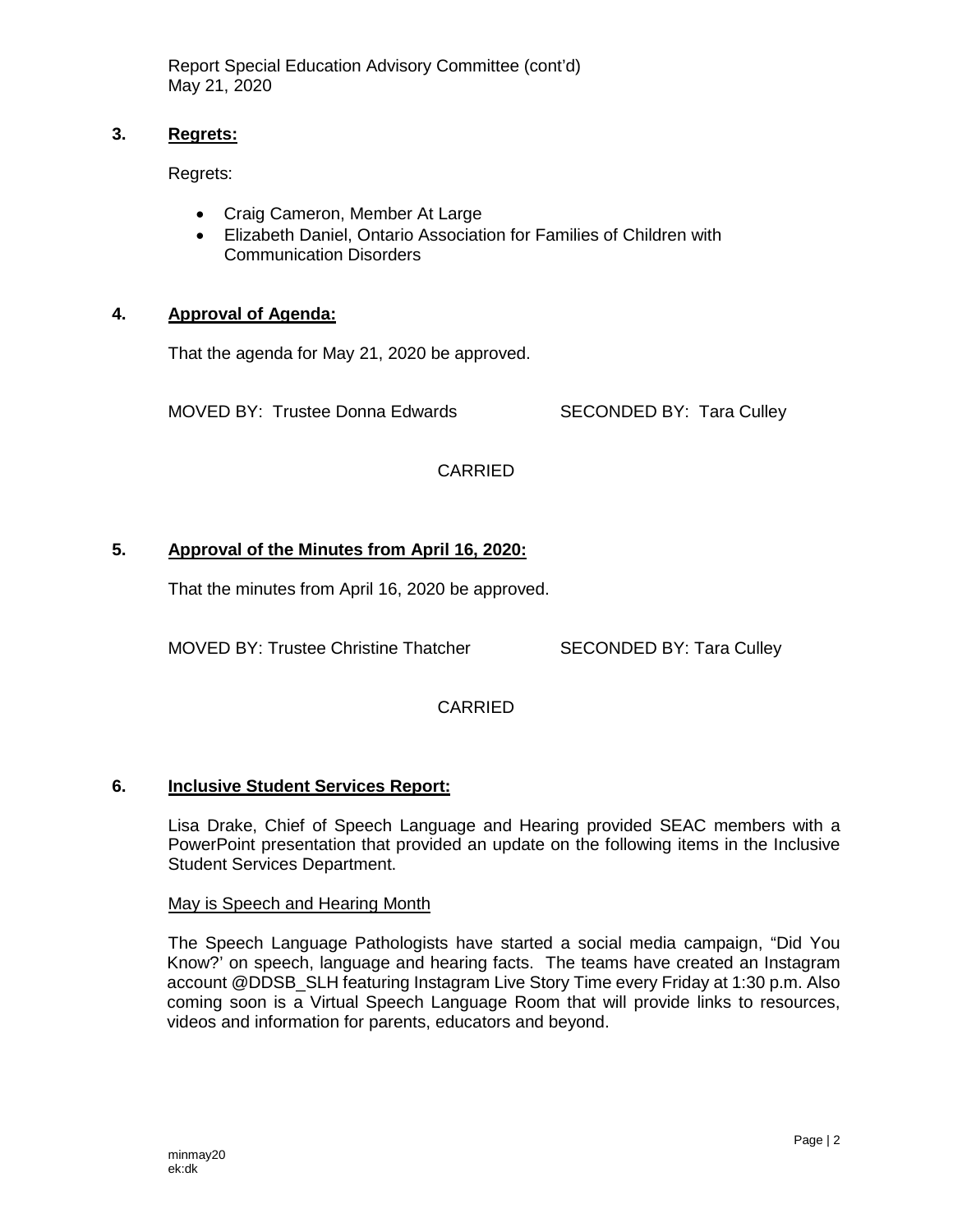## **3. Regrets:**

Regrets:

- Craig Cameron, Member At Large
- Elizabeth Daniel, Ontario Association for Families of Children with Communication Disorders

## **4. Approval of Agenda:**

That the agenda for May 21, 2020 be approved.

MOVED BY: Trustee Donna Edwards SECONDED BY: Tara Culley

CARRIED

# **5. Approval of the Minutes from April 16, 2020:**

That the minutes from April 16, 2020 be approved.

MOVED BY: Trustee Christine Thatcher SECONDED BY: Tara Culley

CARRIED

## **6. Inclusive Student Services Report:**

Lisa Drake, Chief of Speech Language and Hearing provided SEAC members with a PowerPoint presentation that provided an update on the following items in the Inclusive Student Services Department.

May is Speech and Hearing Month

The Speech Language Pathologists have started a social media campaign, "Did You Know?' on speech, language and hearing facts. The teams have created an Instagram account @DDSB\_SLH featuring Instagram Live Story Time every Friday at 1:30 p.m. Also coming soon is a Virtual Speech Language Room that will provide links to resources, videos and information for parents, educators and beyond.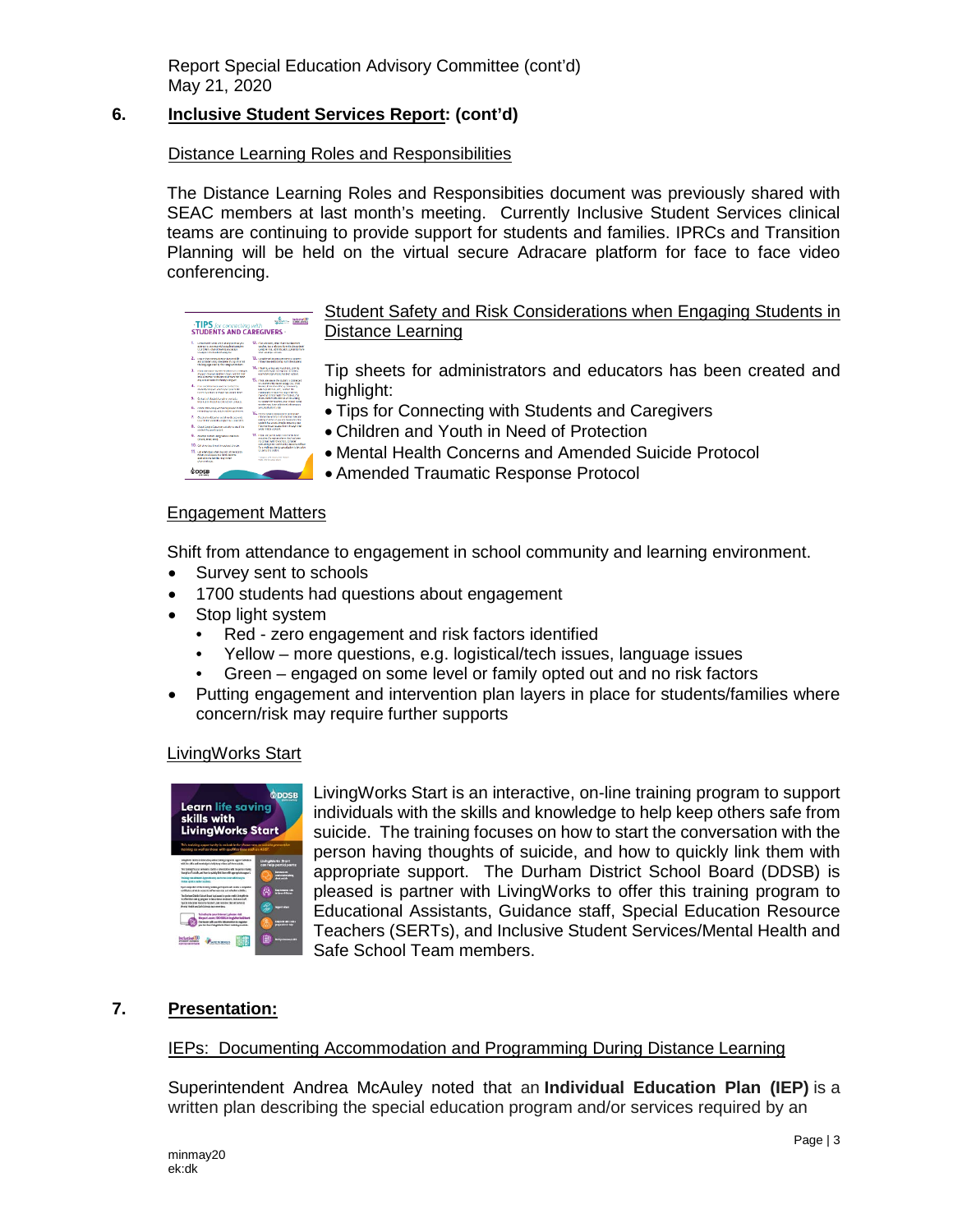# **6. Inclusive Student Services Report: (cont'd)**

### Distance Learning Roles and Responsibilities

The Distance Learning Roles and Responsibities document was previously shared with SEAC members at last month's meeting. Currently Inclusive Student Services clinical teams are continuing to provide support for students and families. IPRCs and Transition Planning will be held on the virtual secure Adracare platform for face to face video conferencing.



Student Safety and Risk Considerations when Engaging Students in Distance Learning

Tip sheets for administrators and educators has been created and highlight:

- Tips for Connecting with Students and Caregivers
- Children and Youth in Need of Protection
- Mental Health Concerns and Amended Suicide Protocol
- Amended Traumatic Response Protocol

#### Engagement Matters

Shift from attendance to engagement in school community and learning environment.

- Survey sent to schools
- 1700 students had questions about engagement
- Stop light system
	- Red zero engagement and risk factors identified
	- Yellow more questions, e.g. logistical/tech issues, language issues
	- Green engaged on some level or family opted out and no risk factors
- Putting engagement and intervention plan layers in place for students/families where concern/risk may require further supports

#### LivingWorks Start



LivingWorks Start is an interactive, on-line training program to support individuals with the skills and knowledge to help keep others safe from suicide. The training focuses on how to start the conversation with the person having thoughts of suicide, and how to quickly link them with appropriate support. The Durham District School Board (DDSB) is pleased is partner with LivingWorks to offer this training program to Educational Assistants, Guidance staff, Special Education Resource Teachers (SERTs), and Inclusive Student Services/Mental Health and Safe School Team members.

## **7. Presentation:**

#### IEPs: Documenting Accommodation and Programming During Distance Learning

Superintendent Andrea McAuley noted that an **Individual Education Plan (IEP)** is a written plan describing the special education program and/or services required by an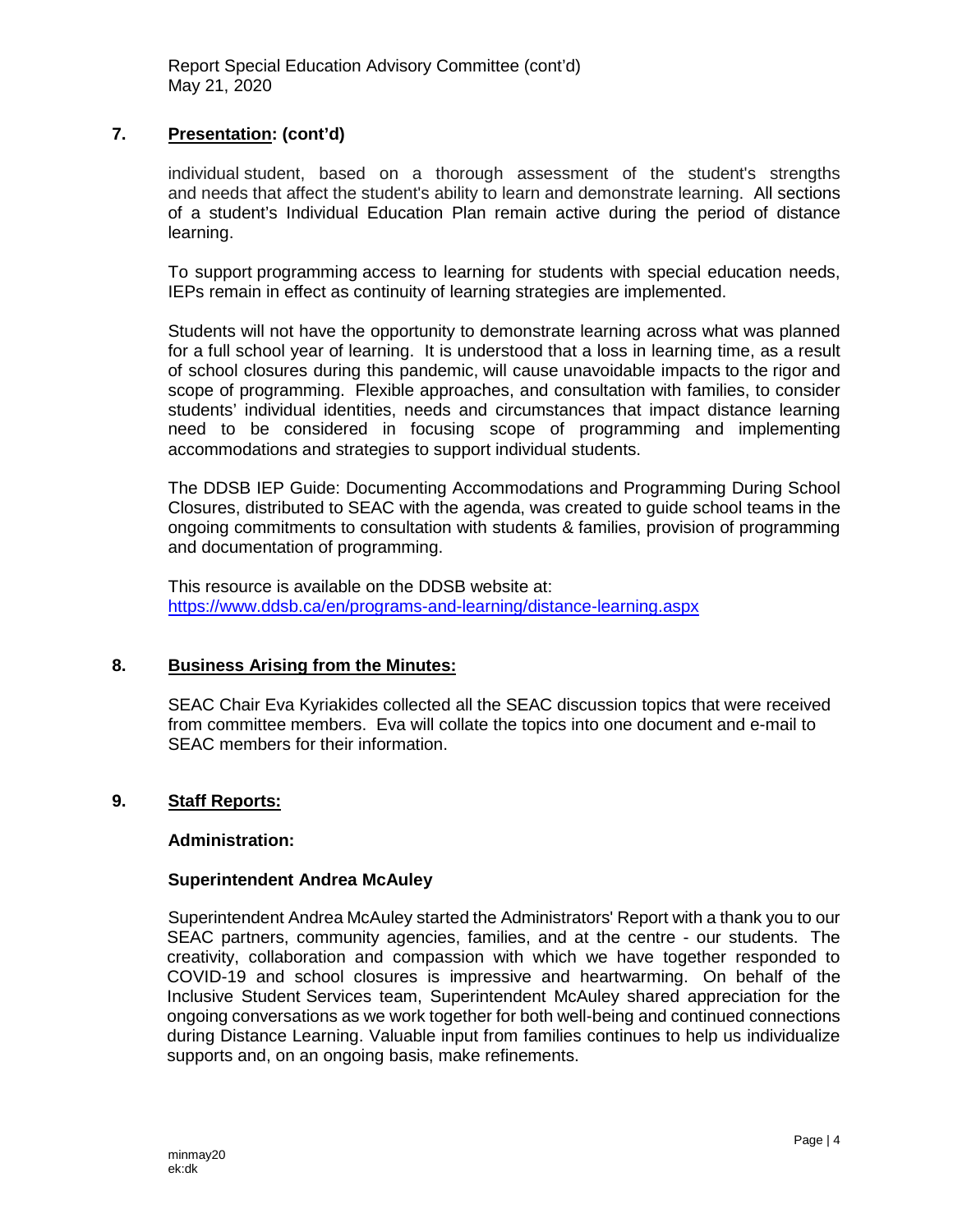# **7. Presentation: (cont'd)**

individual student, based on a thorough assessment of the student's strengths and needs that affect the student's ability to learn and demonstrate learning. All sections of a student's Individual Education Plan remain active during the period of distance learning.

To support programming access to learning for students with special education needs, IEPs remain in effect as continuity of learning strategies are implemented.

Students will not have the opportunity to demonstrate learning across what was planned for a full school year of learning. It is understood that a loss in learning time, as a result of school closures during this pandemic, will cause unavoidable impacts to the rigor and scope of programming. Flexible approaches, and consultation with families, to consider students' individual identities, needs and circumstances that impact distance learning need to be considered in focusing scope of programming and implementing accommodations and strategies to support individual students.

The DDSB IEP Guide: Documenting Accommodations and Programming During School Closures, distributed to SEAC with the agenda, was created to guide school teams in the ongoing commitments to consultation with students & families, provision of programming and documentation of programming.

This resource is available on the DDSB website at: <https://www.ddsb.ca/en/programs-and-learning/distance-learning.aspx>

## **8. Business Arising from the Minutes:**

SEAC Chair Eva Kyriakides collected all the SEAC discussion topics that were received from committee members. Eva will collate the topics into one document and e-mail to SEAC members for their information.

## **9. Staff Reports:**

#### **Administration:**

#### **Superintendent Andrea McAuley**

Superintendent Andrea McAuley started the Administrators' Report with a thank you to our SEAC partners, community agencies, families, and at the centre - our students. The creativity, collaboration and compassion with which we have together responded to COVID-19 and school closures is impressive and heartwarming. On behalf of the Inclusive Student Services team, Superintendent McAuley shared appreciation for the ongoing conversations as we work together for both well-being and continued connections during Distance Learning. Valuable input from families continues to help us individualize supports and, on an ongoing basis, make refinements.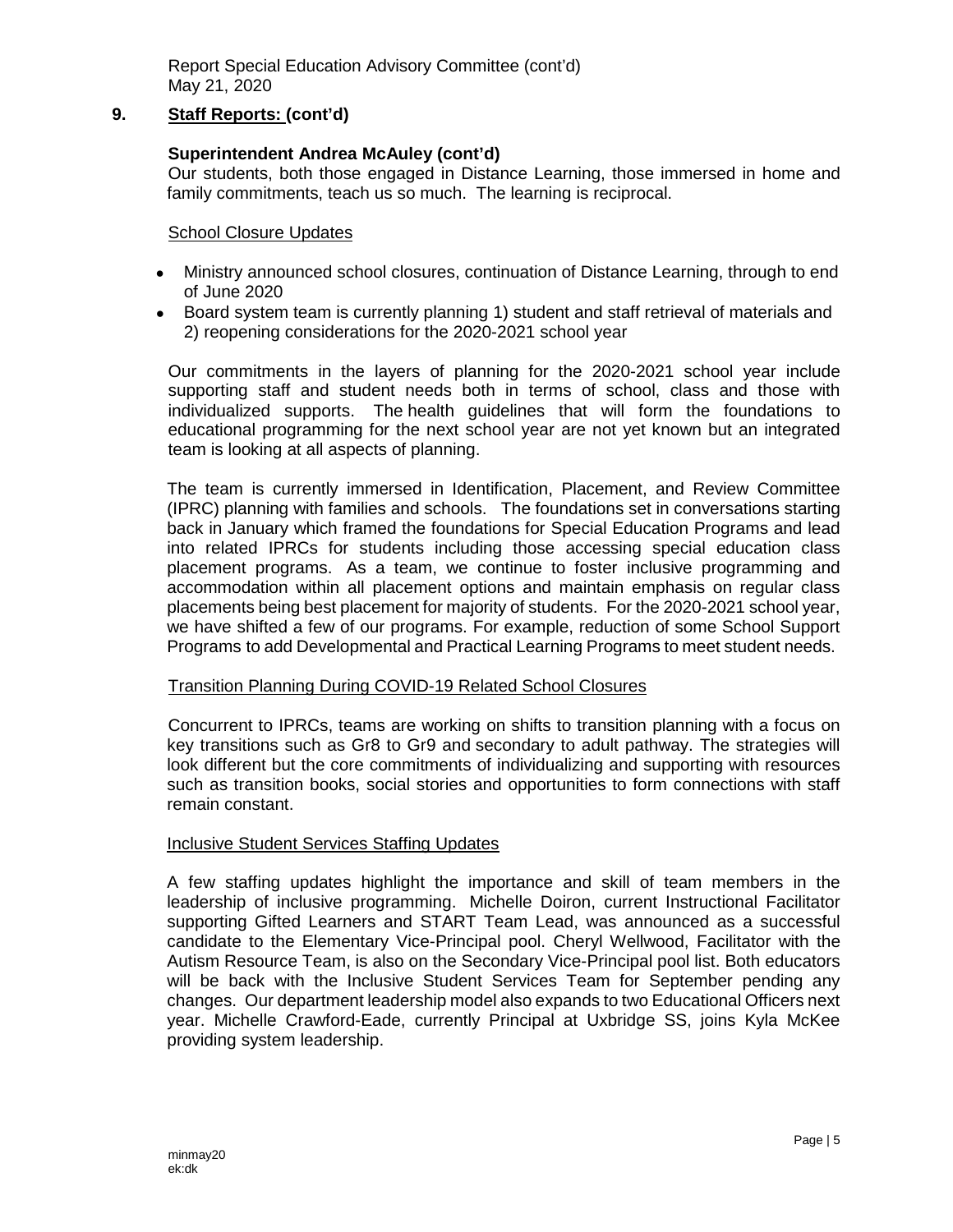### **9. Staff Reports: (cont'd)**

### **Superintendent Andrea McAuley (cont'd)**

Our students, both those engaged in Distance Learning, those immersed in home and family commitments, teach us so much. The learning is reciprocal.

#### School Closure Updates

- Ministry announced school closures, continuation of Distance Learning, through to end of June 2020
- Board system team is currently planning 1) student and staff retrieval of materials and 2) reopening considerations for the 2020-2021 school year

Our commitments in the layers of planning for the 2020-2021 school year include supporting staff and student needs both in terms of school, class and those with individualized supports. The health guidelines that will form the foundations to educational programming for the next school year are not yet known but an integrated team is looking at all aspects of planning.

The team is currently immersed in Identification, Placement, and Review Committee (IPRC) planning with families and schools. The foundations set in conversations starting back in January which framed the foundations for Special Education Programs and lead into related IPRCs for students including those accessing special education class placement programs. As a team, we continue to foster inclusive programming and accommodation within all placement options and maintain emphasis on regular class placements being best placement for majority of students. For the 2020-2021 school year, we have shifted a few of our programs. For example, reduction of some School Support Programs to add Developmental and Practical Learning Programs to meet student needs.

#### Transition Planning During COVID-19 Related School Closures

Concurrent to IPRCs, teams are working on shifts to transition planning with a focus on key transitions such as Gr8 to Gr9 and secondary to adult pathway. The strategies will look different but the core commitments of individualizing and supporting with resources such as transition books, social stories and opportunities to form connections with staff remain constant.

#### Inclusive Student Services Staffing Updates

A few staffing updates highlight the importance and skill of team members in the leadership of inclusive programming. Michelle Doiron, current Instructional Facilitator supporting Gifted Learners and START Team Lead, was announced as a successful candidate to the Elementary Vice-Principal pool. Cheryl Wellwood, Facilitator with the Autism Resource Team, is also on the Secondary Vice-Principal pool list. Both educators will be back with the Inclusive Student Services Team for September pending any changes. Our department leadership model also expands to two Educational Officers next year. Michelle Crawford-Eade, currently Principal at Uxbridge SS, joins Kyla McKee providing system leadership.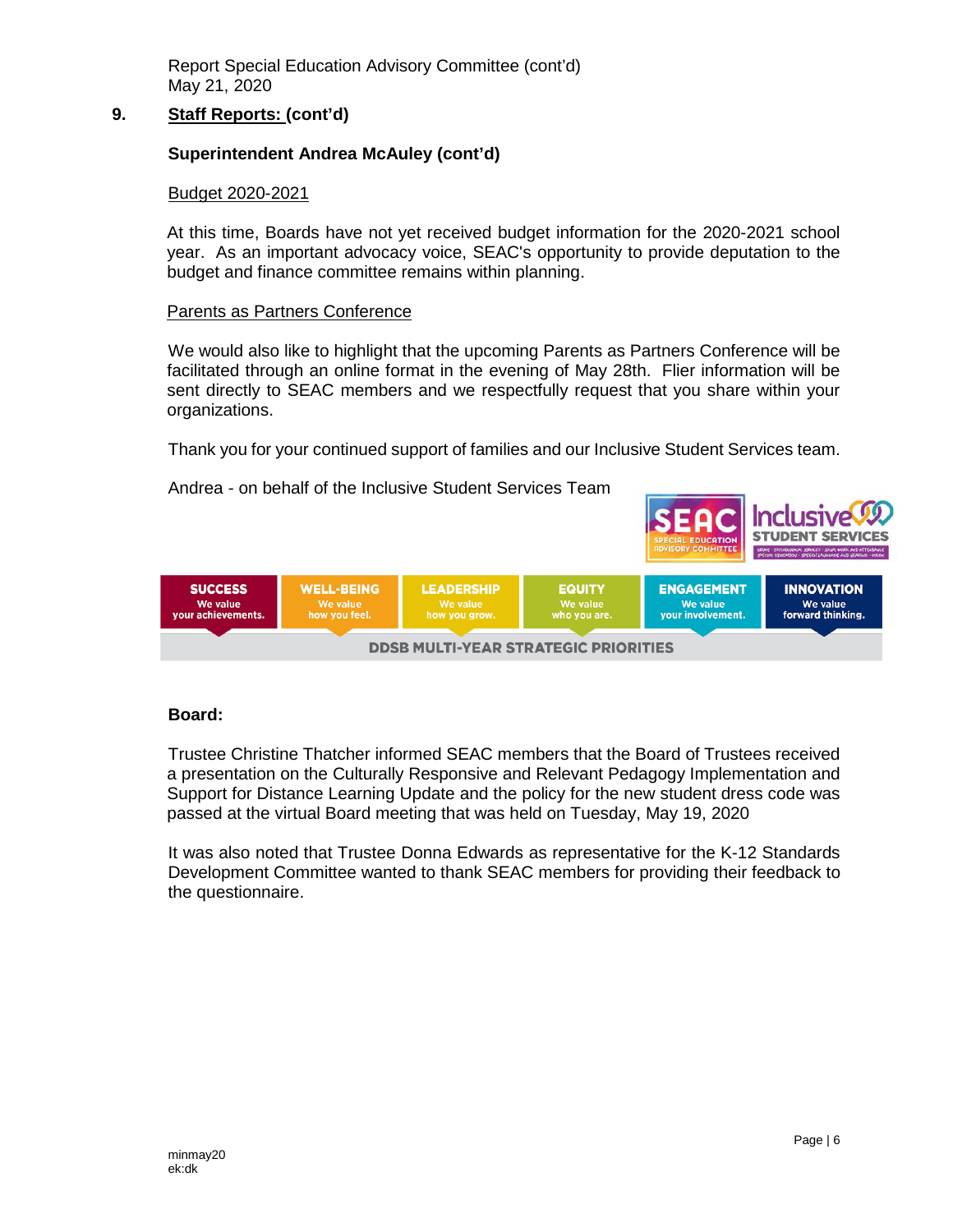## **9. Staff Reports: (cont'd)**

## **Superintendent Andrea McAuley (cont'd)**

#### Budget 2020-2021

At this time, Boards have not yet received budget information for the 2020-2021 school year. As an important advocacy voice, SEAC's opportunity to provide deputation to the budget and finance committee remains within planning.

#### Parents as Partners Conference

We would also like to highlight that the upcoming Parents as Partners Conference will be facilitated through an online format in the evening of May 28th. Flier information will be sent directly to SEAC members and we respectfully request that you share within your organizations.

Thank you for your continued support of families and our Inclusive Student Services team.

Andrea - on behalf of the Inclusive Student Services Team



#### **Board:**

Trustee Christine Thatcher informed SEAC members that the Board of Trustees received a presentation on the Culturally Responsive and Relevant Pedagogy Implementation and Support for Distance Learning Update and the policy for the new student dress code was passed at the virtual Board meeting that was held on Tuesday, May 19, 2020

It was also noted that Trustee Donna Edwards as representative for the K-12 Standards Development Committee wanted to thank SEAC members for providing their feedback to the questionnaire.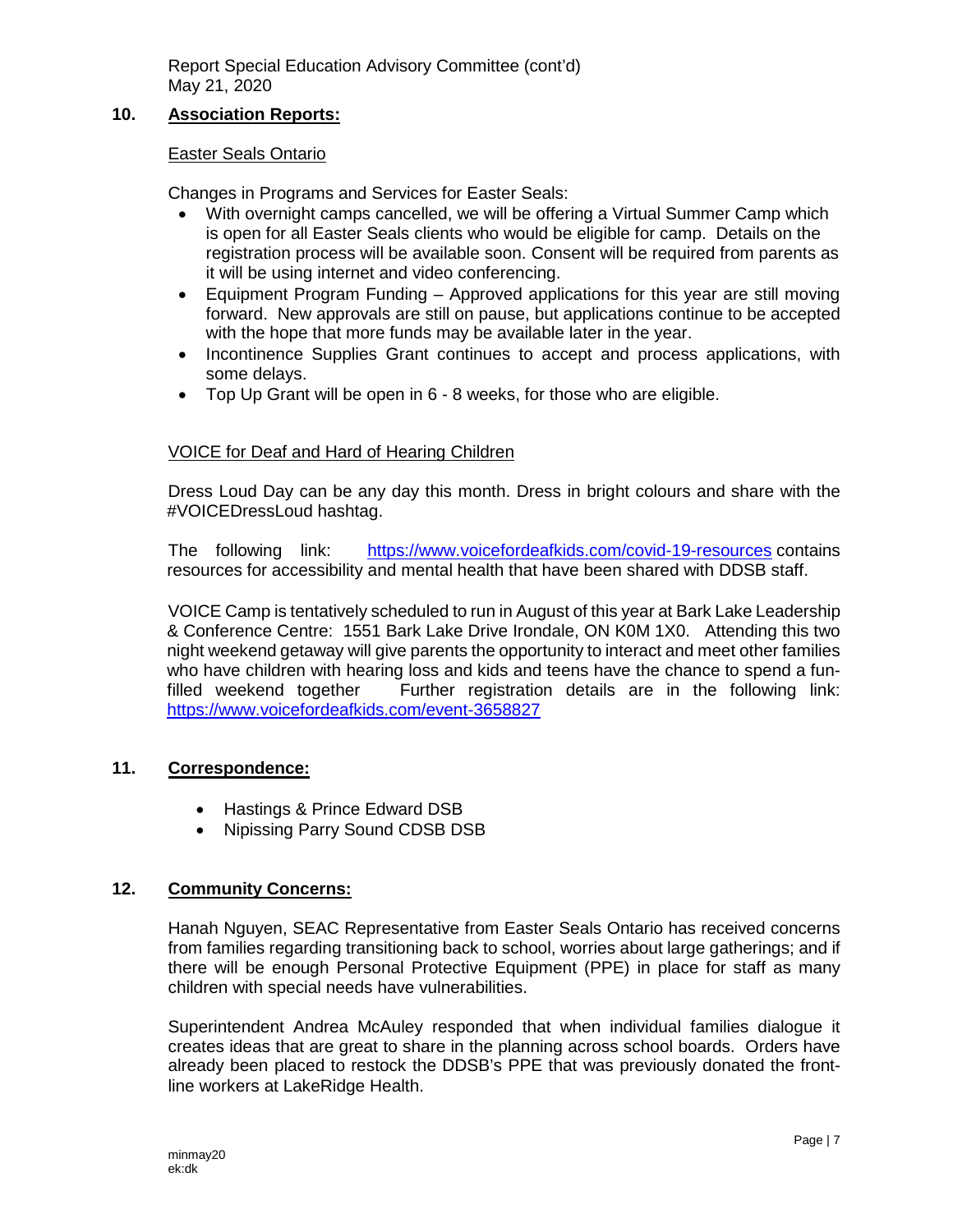# **10. Association Reports:**

#### Easter Seals Ontario

Changes in Programs and Services for Easter Seals:

- With overnight camps cancelled, we will be offering a Virtual Summer Camp which is open for all Easter Seals clients who would be eligible for camp. Details on the registration process will be available soon. Consent will be required from parents as it will be using internet and video conferencing.
- Equipment Program Funding Approved applications for this year are still moving forward. New approvals are still on pause, but applications continue to be accepted with the hope that more funds may be available later in the year.
- Incontinence Supplies Grant continues to accept and process applications, with some delays.
- Top Up Grant will be open in 6 8 weeks, for those who are eligible.

## VOICE for Deaf and Hard of Hearing Children

Dress Loud Day can be any day this month. Dress in bright colours and share with the #VOICEDressLoud hashtag.

The following link: <https://www.voicefordeafkids.com/covid-19-resources> contains resources for accessibility and mental health that have been shared with DDSB staff.

VOICE Camp is tentatively scheduled to run in August of this year at Bark Lake Leadership & Conference Centre: 1551 Bark Lake Drive Irondale, ON K0M 1X0. Attending this two night weekend getaway will give parents the opportunity to interact and meet other families who have children with hearing loss and kids and teens have the chance to spend a funfilled weekend together Further registration details are in the following link: <https://www.voicefordeafkids.com/event-3658827>

## **11. Correspondence:**

- Hastings & Prince Edward DSB
- Nipissing Parry Sound CDSB DSB

## **12. Community Concerns:**

Hanah Nguyen, SEAC Representative from Easter Seals Ontario has received concerns from families regarding transitioning back to school, worries about large gatherings; and if there will be enough Personal Protective Equipment (PPE) in place for staff as many children with special needs have vulnerabilities.

Superintendent Andrea McAuley responded that when individual families dialogue it creates ideas that are great to share in the planning across school boards. Orders have already been placed to restock the DDSB's PPE that was previously donated the frontline workers at LakeRidge Health.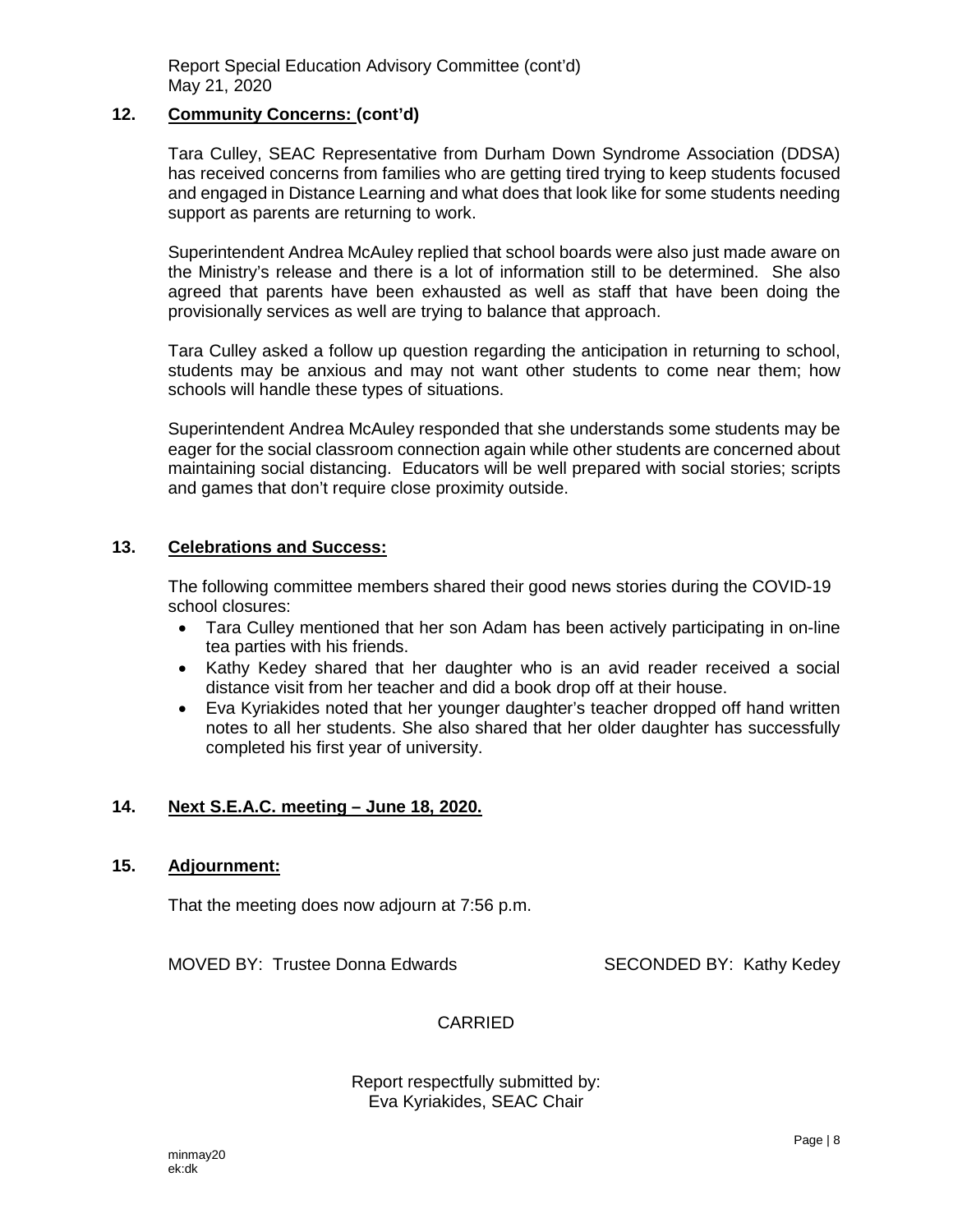### **12. Community Concerns: (cont'd)**

Tara Culley, SEAC Representative from Durham Down Syndrome Association (DDSA) has received concerns from families who are getting tired trying to keep students focused and engaged in Distance Learning and what does that look like for some students needing support as parents are returning to work.

Superintendent Andrea McAuley replied that school boards were also just made aware on the Ministry's release and there is a lot of information still to be determined. She also agreed that parents have been exhausted as well as staff that have been doing the provisionally services as well are trying to balance that approach.

Tara Culley asked a follow up question regarding the anticipation in returning to school, students may be anxious and may not want other students to come near them; how schools will handle these types of situations.

Superintendent Andrea McAuley responded that she understands some students may be eager for the social classroom connection again while other students are concerned about maintaining social distancing. Educators will be well prepared with social stories; scripts and games that don't require close proximity outside.

### **13. Celebrations and Success:**

The following committee members shared their good news stories during the COVID-19 school closures:

- Tara Culley mentioned that her son Adam has been actively participating in on-line tea parties with his friends.
- Kathy Kedey shared that her daughter who is an avid reader received a social distance visit from her teacher and did a book drop off at their house.
- Eva Kyriakides noted that her younger daughter's teacher dropped off hand written notes to all her students. She also shared that her older daughter has successfully completed his first year of university.

## **14. Next S.E.A.C. meeting – June 18, 2020.**

### **15. Adjournment:**

That the meeting does now adjourn at 7:56 p.m.

MOVED BY: Trustee Donna Edwards SECONDED BY: Kathy Kedey

#### CARRIED

#### Report respectfully submitted by: Eva Kyriakides, SEAC Chair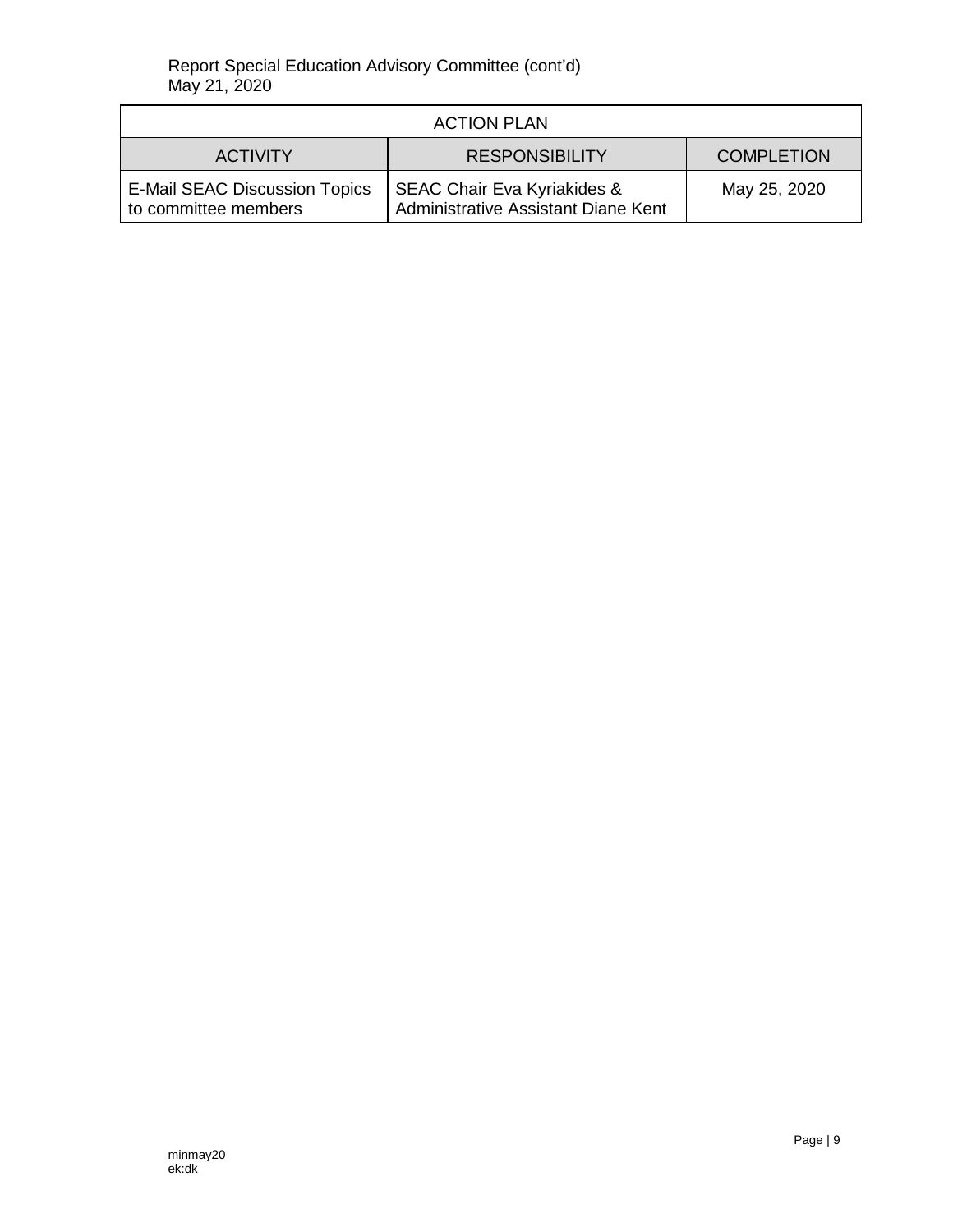| <b>ACTION PLAN</b>                                           |                                                                               |                   |  |  |
|--------------------------------------------------------------|-------------------------------------------------------------------------------|-------------------|--|--|
| <b>ACTIVITY</b>                                              | <b>RESPONSIBILITY</b>                                                         | <b>COMPLETION</b> |  |  |
| <b>E-Mail SEAC Discussion Topics</b><br>to committee members | <b>SEAC Chair Eva Kyriakides &amp;</b><br>Administrative Assistant Diane Kent | May 25, 2020      |  |  |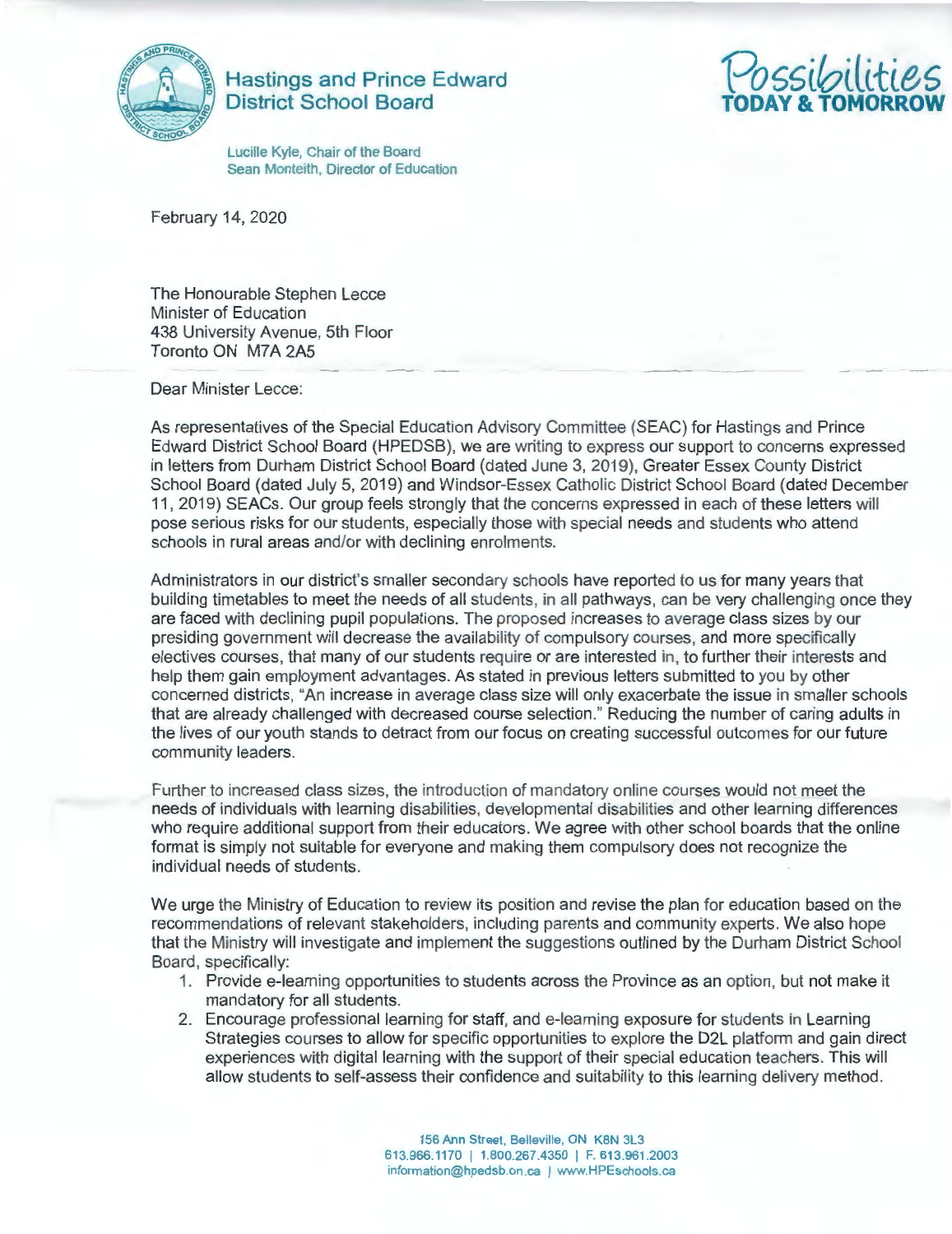

**Hastings and Prince Edward District School Board** 

*Possi0ilities*  **TODAY & TOMORROW** 

Lucille Kyle, Chair of the Board Sean Monteith, Director of Education

February 14, 2020

The Honourable Stephen Lecce Minister of Education 438 University Avenue, 5th Floor Toronto ON M7A 2A5

Dear Minister Lecce:

As representatives of the Special Education Advisory Committee (SEAC) for Hastings and Prince Edward District School Board (HPEDSB), we are writing to express our support to concerns expressed in letters from Durham District School Board (dated June 3, 2019), Greater Essex County District School Board (dated July 5, 2019) and Windsor-Essex Catholic District School Board (dated December 11 , 2019) SEACs. Our group feels strongly that the concerns expressed in each of these letters will pose serious risks for our students, especially those with special needs and students who attend schools in rural areas and/or with declining enrolments.

Administrators in our district's smaller secondary schools have reported to us for many years that building timetables to meet the needs of all students, in all pathways , can be very challenging once they are faced with declining pupil populations. The proposed increases to average class sizes by our presiding government will decrease the availability of compulsory courses, and more specifically electives courses, that many of our students require or are interested in, to further their interests and help them gain employment advantages. As stated in previous letters submitted to you by other concerned districts, "An increase in average class size will only exacerbate the issue in smaller schools that are already challenged with decreased course selection." Reducing the number of caring adults in the lives of our youth stands to detract from our focus on creating successful outcomes for our future community leaders.

Further to increased class sizes, the introduction of mandatory online courses would not meet the needs of individuals with learning disabilities, developmental disabilities and other learning differences who require additional support from their educators. We agree with other school boards that the online format is simply not suitable for everyone and making them compulsory does not recognize the individual needs of students .

We urge the Ministry of Education to review its position and revise the plan for education based on the recommendations of relevant stakeholders, including parents and community experts. We also hope that the Ministry will investigate and implement the suggestions outlined by the Durham District School Board, specifically:

- 1. Provide e-learning opportunities to students across the Province as an option, but not make it mandatory for all students.
- 2. Encourage professional learning for staff, and e-learning exposure for students in Learning Strategies courses to allow for specific opportunities to explore the D2L platform and gain direct experiences with digital learning with the support of their special education teachers. This will allow students to self-assess their confidence and suitability to this learning delivery method.

156 Ann Street, Belleville, ON K8N 3L3 613.966.1170 I 1.800.267.4350 I F. 613.961 .2003 information@hpedsb.on.ca | www.HPEschools.ca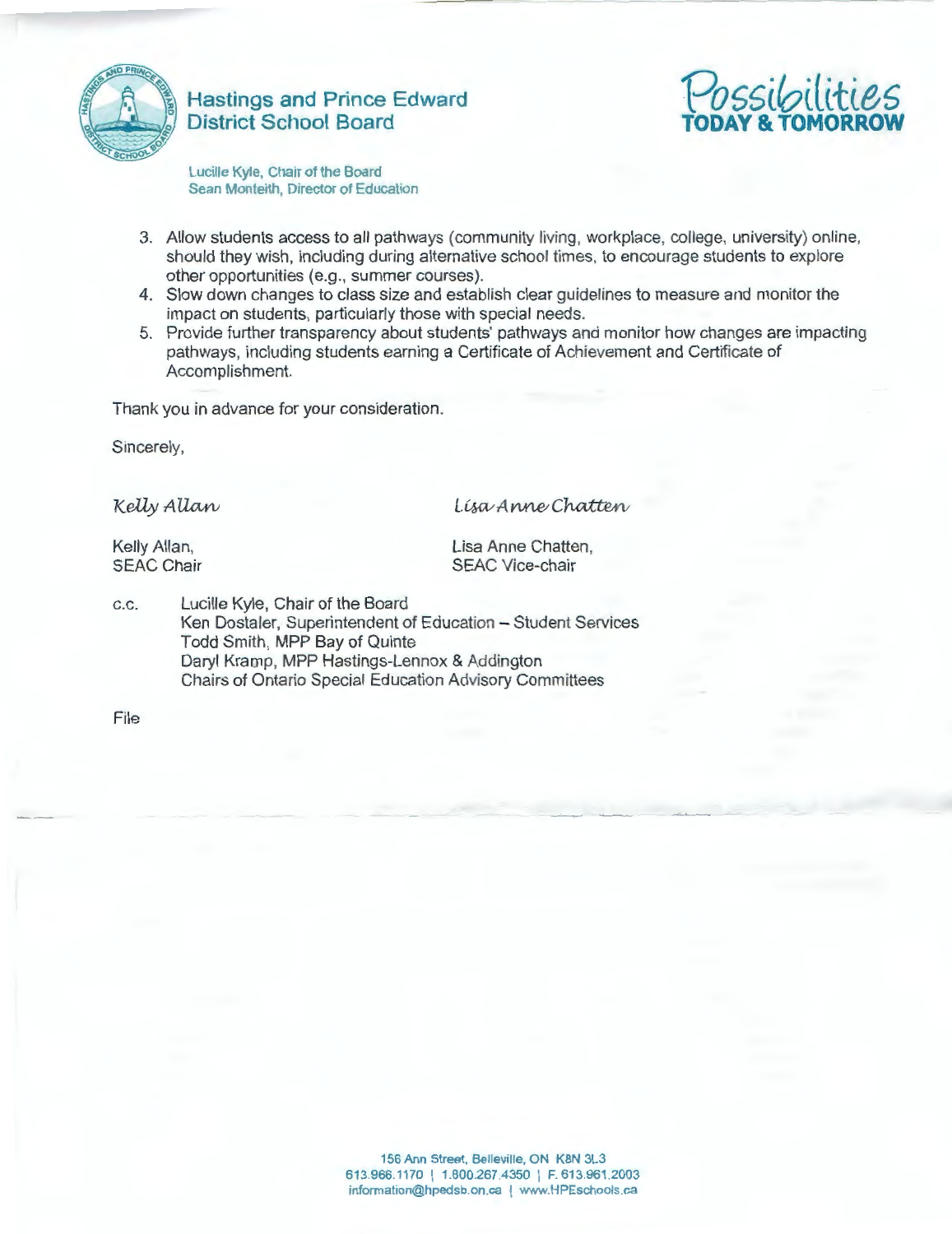

**Hastings and Prince Edward District School Board** 



Lucille Kyle, Chair of the Board Sean Monteith, Director of Education

- 3. Allow students access to all pathways (community living, workplace, college, university) online, should they wish, including during alternative school times, to encourage students to explore other opportunities (e.g., summer courses).
- 4. Slow down changes to class size and establish clear guidelines to measure and monitor the impact on students, particularly those with special needs.
- 5. Provide further transparency about students' pathways and monitor how changes are impacting pathways, including students earning a Certificate of Achievement and Certificate of Accomplishment.

Thank you in advance for your consideration.

Sincerely,

Kelly Allan

Lisa Anne Chatten

Kelly Allan, SEAC Chair Lisa Anne Chatten. SEAC Vice-chair

c.c. Lucille Kyle, Chair of the Board Ken Dostaler, Superintendent of Education - Student Services Todd Smith, MPP Bay of Quinte Daryl Kramp, MPP Hastings-Lennox & Addington Chairs of Ontario Special Education Advisory Committees

File